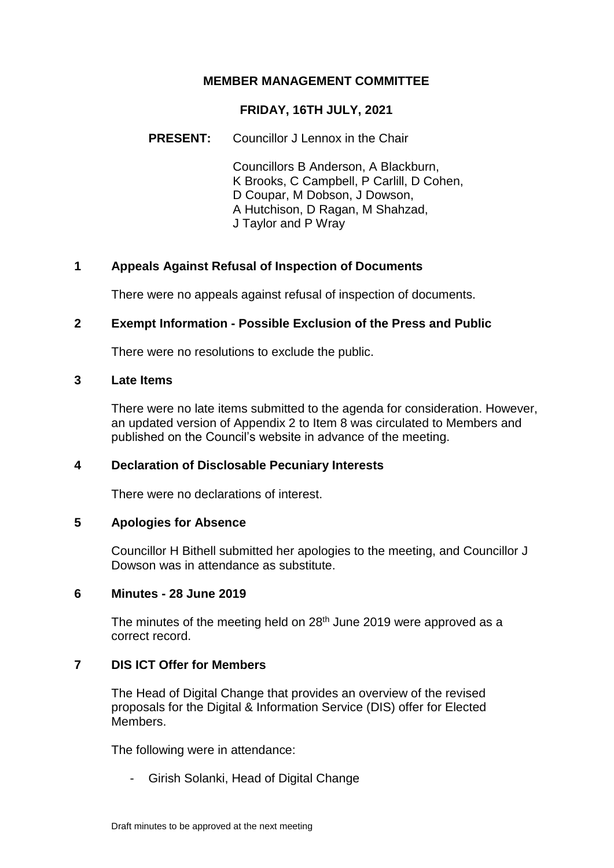## **MEMBER MANAGEMENT COMMITTEE**

## **FRIDAY, 16TH JULY, 2021**

### **PRESENT:** Councillor J Lennox in the Chair

Councillors B Anderson, A Blackburn, K Brooks, C Campbell, P Carlill, D Cohen, D Coupar, M Dobson, J Dowson, A Hutchison, D Ragan, M Shahzad, J Taylor and P Wray

## **1 Appeals Against Refusal of Inspection of Documents**

There were no appeals against refusal of inspection of documents.

## **2 Exempt Information - Possible Exclusion of the Press and Public**

There were no resolutions to exclude the public.

#### **3 Late Items**

There were no late items submitted to the agenda for consideration. However, an updated version of Appendix 2 to Item 8 was circulated to Members and published on the Council's website in advance of the meeting.

## **4 Declaration of Disclosable Pecuniary Interests**

There were no declarations of interest.

#### **5 Apologies for Absence**

Councillor H Bithell submitted her apologies to the meeting, and Councillor J Dowson was in attendance as substitute.

#### **6 Minutes - 28 June 2019**

The minutes of the meeting held on 28<sup>th</sup> June 2019 were approved as a correct record.

## **7 DIS ICT Offer for Members**

The Head of Digital Change that provides an overview of the revised proposals for the Digital & Information Service (DIS) offer for Elected Members.

The following were in attendance:

- Girish Solanki, Head of Digital Change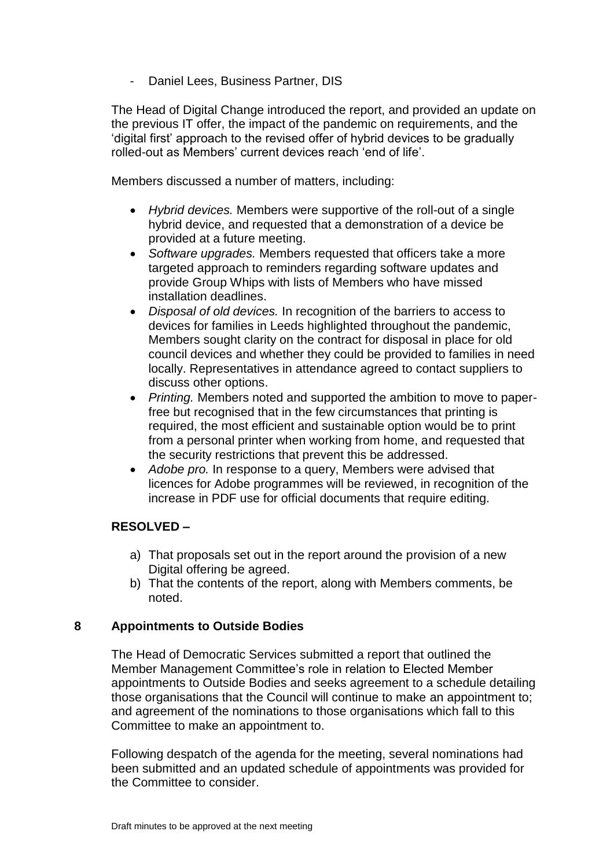Daniel Lees, Business Partner, DIS

The Head of Digital Change introduced the report, and provided an update on the previous IT offer, the impact of the pandemic on requirements, and the 'digital first' approach to the revised offer of hybrid devices to be gradually rolled-out as Members' current devices reach 'end of life'.

Members discussed a number of matters, including:

- *Hybrid devices.* Members were supportive of the roll-out of a single hybrid device, and requested that a demonstration of a device be provided at a future meeting.
- *Software upgrades.* Members requested that officers take a more targeted approach to reminders regarding software updates and provide Group Whips with lists of Members who have missed installation deadlines.
- *Disposal of old devices.* In recognition of the barriers to access to devices for families in Leeds highlighted throughout the pandemic, Members sought clarity on the contract for disposal in place for old council devices and whether they could be provided to families in need locally. Representatives in attendance agreed to contact suppliers to discuss other options.
- *Printing.* Members noted and supported the ambition to move to paperfree but recognised that in the few circumstances that printing is required, the most efficient and sustainable option would be to print from a personal printer when working from home, and requested that the security restrictions that prevent this be addressed.
- *Adobe pro.* In response to a query, Members were advised that licences for Adobe programmes will be reviewed, in recognition of the increase in PDF use for official documents that require editing.

# **RESOLVED –**

- a) That proposals set out in the report around the provision of a new Digital offering be agreed.
- b) That the contents of the report, along with Members comments, be noted.

# **8 Appointments to Outside Bodies**

The Head of Democratic Services submitted a report that outlined the Member Management Committee's role in relation to Elected Member appointments to Outside Bodies and seeks agreement to a schedule detailing those organisations that the Council will continue to make an appointment to; and agreement of the nominations to those organisations which fall to this Committee to make an appointment to.

Following despatch of the agenda for the meeting, several nominations had been submitted and an updated schedule of appointments was provided for the Committee to consider.